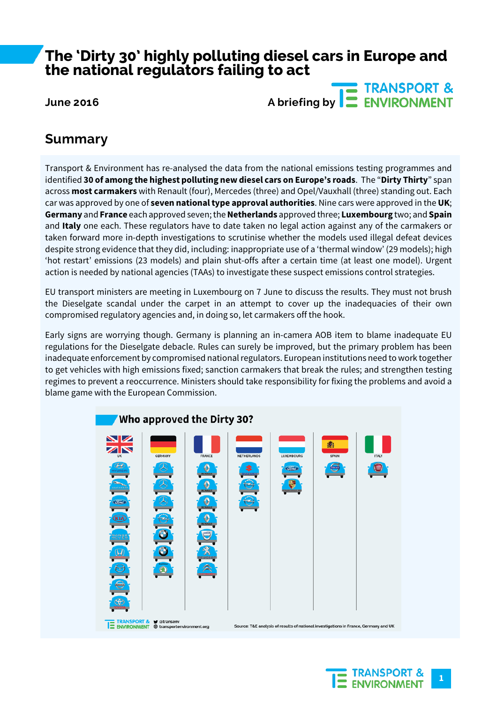## **The 'Dirty 30' highly polluting diesel cars in Europe and the national regulators failing to act**

**TRANSPORT & June 2016 A briefing by <b>E** ENVIRONMENT

### **Summary**

Transport & Environment has re-analysed the data from the national emissions testing programmes and identified **30 of among the highest polluting new diesel cars on Europe's roads**. The "**Dirty Thirty**" span across **most carmakers** with Renault (four), Mercedes (three) and Opel/Vauxhall (three) standing out. Each car was approved by one of **seven national type approval authorities**. Nine cars were approved in the **UK**; **Germany** and **France** each approved seven;the**Netherlands** approved three; **Luxembourg** two; and **Spain** and **Italy** one each. These regulators have to date taken no legal action against any of the carmakers or taken forward more in-depth investigations to scrutinise whether the models used illegal defeat devices despite strong evidence that they did, including: inappropriate use of a 'thermal window' (29 models); high 'hot restart' emissions (23 models) and plain shut-offs after a certain time (at least one model). Urgent action is needed by national agencies (TAAs) to investigate these suspect emissions control strategies.

EU transport ministers are meeting in Luxembourg on 7 June to discuss the results. They must not brush the Dieselgate scandal under the carpet in an attempt to cover up the inadequacies of their own compromised regulatory agencies and, in doing so, let carmakers off the hook.

Early signs are worrying though. Germany is planning an in-camera AOB item to blame inadequate EU regulations for the Dieselgate debacle. Rules can surely be improved, but the primary problem has been inadequate enforcement by compromised national regulators. European institutions need to work together to get vehicles with high emissions fixed; sanction carmakers that break the rules; and strengthen testing regimes to prevent a reoccurrence. Ministers should take responsibility for fixing the problems and avoid a blame game with the European Commission.



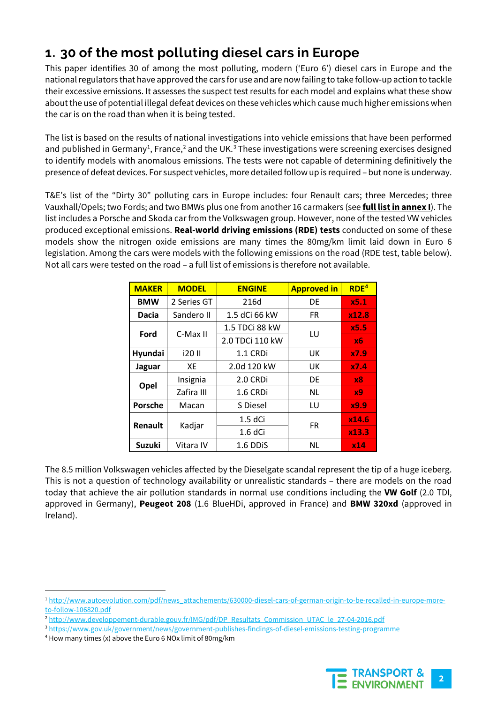## **1. 30 of the most polluting diesel cars in Europe**

This paper identifies 30 of among the most polluting, modern ('Euro 6') diesel cars in Europe and the national regulators that have approved the cars for use and are now failing to take follow-up action to tackle their excessive emissions. It assesses the suspect test results for each model and explains what these show aboutthe use of potential illegal defeat devices on these vehicles which cause much higher emissions when the car is on the road than when it is being tested.

The list is based on the results of national investigations into vehicle emissions that have been performed and published in Germany $^1$  $^1$ , France, $^2$  $^2$  and the UK. $^3$  $^3$  These investigations were screening exercises designed to identify models with anomalous emissions. The tests were not capable of determining definitively the presence of defeat devices. For suspect vehicles, more detailed follow up is required – but none is underway.

T&E's list of the "Dirty 30" polluting cars in Europe includes: four Renault cars; three Mercedes; three Vauxhall/Opels; two Fords; and two BMWs plus one from another 16 carmakers (see **full list in annex I**). The list includes a Porsche and Skoda car from the Volkswagen group. However, none of the tested VW vehicles produced exceptional emissions. **Real-world driving emissions (RDE) tests** conducted on some of these models show the nitrogen oxide emissions are many times the 80mg/km limit laid down in Euro 6 legislation. Among the cars were models with the following emissions on the road (RDE test, table below). Not all cars were tested on the road – a full list of emissions is therefore not available.

| <b>MAKER</b>  | <b>MODEL</b> | <b>ENGINE</b>   | <b>Approved in</b> |                |
|---------------|--------------|-----------------|--------------------|----------------|
| <b>BMW</b>    | 2 Series GT  | 216d            | DE                 | x5.1           |
| Dacia         | Sandero II   | 1.5 dCi 66 kW   | <b>FR</b>          | x12.8          |
| Ford          | C-Max II     | 1.5 TDCi 88 kW  | LU                 | x5.5           |
|               |              | 2.0 TDCi 110 kW |                    | х6.            |
| Hyundai       | i20 II       | 1.1 CRDi        | UK                 | x7.9           |
| Jaguar        | XE           | 2.0d 120 kW     | UK                 | x7.4           |
| Opel          | Insignia     | 2.0 CRDi        | DE                 | x8             |
|               | Zafira III   | 1.6 CRDi        | <b>NL</b>          | x <sub>9</sub> |
| Porsche       | Macan        | S Diesel        | LU                 | x9.9           |
| Renault       | Kadjar       | 1.5 dCi         |                    | x14.6          |
|               |              | $1.6$ dCi       | <b>FR</b>          | x13.3          |
| <b>Suzuki</b> | Vitara IV    | 1.6 DDIS        | <b>NL</b>          | x14            |

The 8.5 million Volkswagen vehicles affected by the Dieselgate scandal represent the tip of a huge iceberg. This is not a question of technology availability or unrealistic standards – there are models on the road today that achieve the air pollution standards in normal use conditions including the **VW Golf** (2.0 TDI, approved in Germany), **Peugeot 208** (1.6 BlueHDi, approved in France) and **BMW 320xd** (approved in Ireland).



<span id="page-1-0"></span><sup>&</sup>lt;sup>1</sup> [http://www.autoevolution.com/pdf/news\\_attachements/630000-diesel-cars-of-german-origin-to-be-recalled-in-europe-more](http://www.autoevolution.com/pdf/news_attachements/630000-diesel-cars-of-german-origin-to-be-recalled-in-europe-more-to-follow-106820.pdf)[to-follow-106820.pdf](http://www.autoevolution.com/pdf/news_attachements/630000-diesel-cars-of-german-origin-to-be-recalled-in-europe-more-to-follow-106820.pdf)

<span id="page-1-1"></span><sup>&</sup>lt;sup>2</sup> [http://www.developpement-durable.gouv.fr/IMG/pdf/DP\\_Resultats\\_Commission\\_UTAC\\_le\\_27-04-2016.pdf](http://www.developpement-durable.gouv.fr/IMG/pdf/DP_Resultats_Commission_UTAC_le_27-04-2016.pdf)

<span id="page-1-2"></span><sup>3</sup> <https://www.gov.uk/government/news/government-publishes-findings-of-diesel-emissions-testing-programme>

<span id="page-1-3"></span><sup>4</sup> How many times (x) above the Euro 6 NOx limit of 80mg/km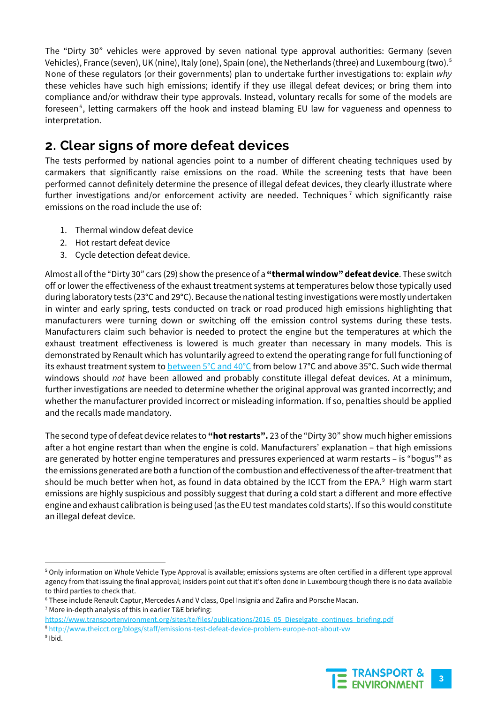The "Dirty 30" vehicles were approved by seven national type approval authorities: Germany (seven Vehicles), France (seven), UK (nine), Italy (one), Spain (one), the Netherlands (three) and Luxembourg (two).[5](#page-2-0) None of these regulators (or their governments) plan to undertake further investigations to: explain *why* these vehicles have such high emissions; identify if they use illegal defeat devices; or bring them into compliance and/or withdraw their type approvals. Instead, voluntary recalls for some of the models are foreseen<sup>[6](#page-2-1)</sup>, letting carmakers off the hook and instead blaming EU law for vagueness and openness to interpretation.

## **2. Clear signs of more defeat devices**

The tests performed by national agencies point to a number of different cheating techniques used by carmakers that significantly raise emissions on the road. While the screening tests that have been performed cannot definitely determine the presence of illegal defeat devices, they clearly illustrate where further investigations and/or enforcement activity are needed. Techniques<sup>[7](#page-2-2)</sup> which significantly raise emissions on the road include the use of:

- 1. Thermal window defeat device
- 2. Hot restart defeat device
- 3. Cycle detection defeat device.

Almost all of the "Dirty 30" cars (29) show the presence of a **"thermal window" defeat device**. These switch off or lower the effectiveness of the exhaust treatment systems at temperatures below those typically used during laboratory tests (23°C and 29°C). Because the national testing investigations were mostly undertaken in winter and early spring, tests conducted on track or road produced high emissions highlighting that manufacturers were turning down or switching off the emission control systems during these tests. Manufacturers claim such behavior is needed to protect the engine but the temperatures at which the exhaust treatment effectiveness is lowered is much greater than necessary in many models. This is demonstrated by Renault which has voluntarily agreed to extend the operating range for full functioning of its exhaust treatment system to [between](http://www.lemonde.fr/planete/article/2016/04/07/commission-diesel-les-50-premiers-vehicules-testes-depassent-tous-les-normes-en-conditions-reelles_4898143_3244.html) 5°C and 40°C from below 17°C and above 35°C. Such wide thermal windows should *not* have been allowed and probably constitute illegal defeat devices. At a minimum, further investigations are needed to determine whether the original approval was granted incorrectly; and whether the manufacturer provided incorrect or misleading information. If so, penalties should be applied and the recalls made mandatory.

The second type of defeat device relates to **"hot restarts".** 23 of the "Dirty 30" show much higher emissions after a hot engine restart than when the engine is cold. Manufacturers' explanation – that high emissions are generated by hotter engine temperatures and pressures experienced at warm restarts – is "bogus"<sup>8</sup> as the emissions generated are both a function of the combustion and effectiveness of the after-treatment that should be much better when hot, as found in data obtained by the ICCT from the EPA. [9](#page-2-4) High warm start emissions are highly suspicious and possibly suggest that during a cold start a different and more effective engine and exhaust calibration is being used (as the EU test mandates cold starts). If so this would constitute an illegal defeat device.



<span id="page-2-0"></span> <sup>5</sup> Only information on Whole Vehicle Type Approval is available; emissions systems are often certified in a different type approval agency from that issuing the final approval; insiders point out that it's often done in Luxembourg though there is no data available to third parties to check that.

<span id="page-2-1"></span><sup>6</sup> These include Renault Captur, Mercedes A and V class, Opel Insignia and Zafira and Porsche Macan.

<span id="page-2-2"></span><sup>7</sup> More in-depth analysis of this in earlier T&E briefing:

<span id="page-2-3"></span>[https://www.transportenvironment.org/sites/te/files/publications/2016\\_05\\_Dieselgate\\_continues\\_briefing.pdf](https://www.transportenvironment.org/sites/te/files/publications/2016_05_Dieselgate_continues_briefing.pdf) <sup>8</sup> <http://www.theicct.org/blogs/staff/emissions-test-defeat-device-problem-europe-not-about-vw>

<span id="page-2-4"></span><sup>9</sup> Ibid.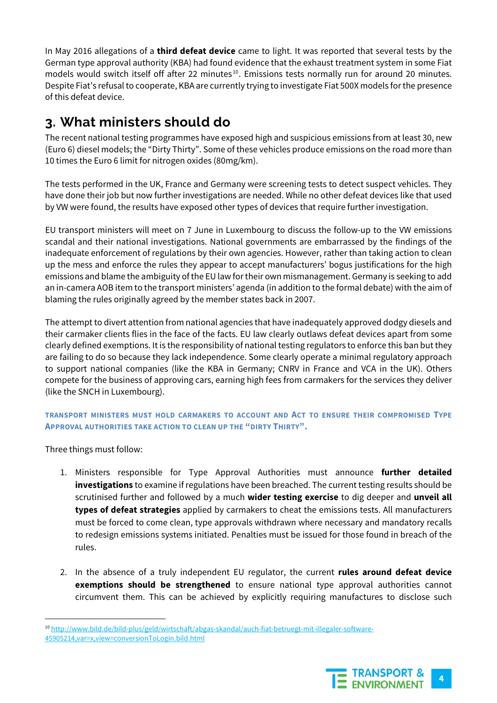In May 2016 allegations of a **third defeat device** came to light. It was reported that several tests by the German type approval authority (KBA) had found evidence that the exhaust treatment system in some Fiat models would switch itself off after 22 minutes<sup>[10](#page-3-0)</sup>. Emissions tests normally run for around 20 minutes. Despite Fiat's refusal to cooperate, KBA are currently trying to investigate Fiat 500X models for the presence of this defeat device.

# **3. What ministers should do**

The recent national testing programmes have exposed high and suspicious emissions from at least 30, new (Euro 6) diesel models; the "Dirty Thirty". Some of these vehicles produce emissions on the road more than 10 times the Euro 6 limit for nitrogen oxides (80mg/km).

The tests performed in the UK, France and Germany were screening tests to detect suspect vehicles. They have done their job but now further investigations are needed. While no other defeat devices like that used by VW were found, the results have exposed other types of devices that require further investigation.

EU transport ministers will meet on 7 June in Luxembourg to discuss the follow-up to the VW emissions scandal and their national investigations. National governments are embarrassed by the findings of the inadequate enforcement of regulations by their own agencies. However, rather than taking action to clean up the mess and enforce the rules they appear to accept manufacturers' bogus justifications for the high emissions and blame the ambiguity of the EU law for their own mismanagement. Germany is seeking to add an in-camera AOB item to the transport ministers' agenda (in addition to the formal debate) with the aim of blaming the rules originally agreed by the member states back in 2007.

The attempt to divert attention from national agencies that have inadequately approved dodgy diesels and their carmaker clients flies in the face of the facts. EU law clearly outlaws defeat devices apart from some clearly defined exemptions. It is the responsibility of national testing regulators to enforce this ban but they are failing to do so because they lack independence. Some clearly operate a minimal regulatory approach to support national companies (like the KBA in Germany; CNRV in France and VCA in the UK). Others compete for the business of approving cars, earning high fees from carmakers for the services they deliver (like the SNCH in Luxembourg).

#### **TRANSPORT MINISTERS MUST HOLD CARMAKERS TO ACCOUNT AND ACT TO ENSURE THEIR COMPROMISED TYPE APPROVAL AUTHORITIES TAKE ACTION TO CLEAN UP THE "DIRTY THIRTY".**

Three things must follow:

- 1. Ministers responsible for Type Approval Authorities must announce **further detailed investigations** to examine if regulations have been breached. The current testing results should be scrutinised further and followed by a much **wider testing exercise** to dig deeper and **unveil all types of defeat strategies** applied by carmakers to cheat the emissions tests. All manufacturers must be forced to come clean, type approvals withdrawn where necessary and mandatory recalls to redesign emissions systems initiated. Penalties must be issued for those found in breach of the rules.
- 2. In the absence of a truly independent EU regulator, the current **rules around defeat device exemptions should be strengthened** to ensure national type approval authorities cannot circumvent them. This can be achieved by explicitly requiring manufactures to disclose such

<span id="page-3-0"></span> <sup>10</sup> [http://www.bild.de/bild-plus/geld/wirtschaft/abgas-skandal/auch-fiat-betruegt-mit-illegaler-software-](http://www.bild.de/bild-plus/geld/wirtschaft/abgas-skandal/auch-fiat-betruegt-mit-illegaler-software-45905214,var=x,view=conversionToLogin.bild.html)[45905214,var=x,view=conversionToLogin.bild.html](http://www.bild.de/bild-plus/geld/wirtschaft/abgas-skandal/auch-fiat-betruegt-mit-illegaler-software-45905214,var=x,view=conversionToLogin.bild.html)

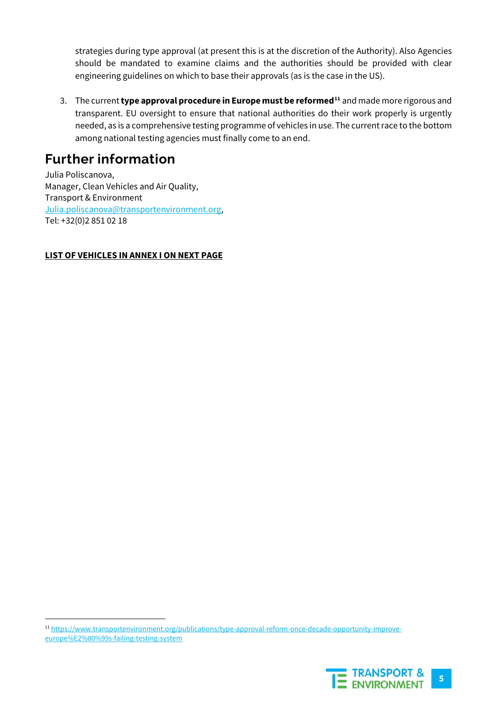strategies during type approval (at present this is at the discretion of the Authority). Also Agencies should be mandated to examine claims and the authorities should be provided with clear engineering guidelines on which to base their approvals (as is the case in the US).

3. The current **type approval procedure in Europe must be reformed<sup>11</sup> and made more rigorous and** transparent. EU oversight to ensure that national authorities do their work properly is urgently needed, as is a comprehensive testing programme of vehicles in use. The current race to the bottom among national testing agencies must finally come to an end.

## **Further information**

Julia Poliscanova, Manager, Clean Vehicles and Air Quality, Transport & Environment [Julia.poliscanova@transportenvironment.org,](mailto:Julia.poliscanova@transportenvironment.org) Tel: +32(0)2 851 02 18

### **LIST OF VEHICLES IN ANNEX I ON NEXT PAGE**

<span id="page-4-0"></span> <sup>11</sup> [https://www.transportenvironment.org/publications/type-approval-reform-once-decade-opportunity-improve](https://www.transportenvironment.org/publications/type-approval-reform-once-decade-opportunity-improve-europe%E2%80%99s-failing-testing-system)[europe%E2%80%99s-failing-testing-system](https://www.transportenvironment.org/publications/type-approval-reform-once-decade-opportunity-improve-europe%E2%80%99s-failing-testing-system)

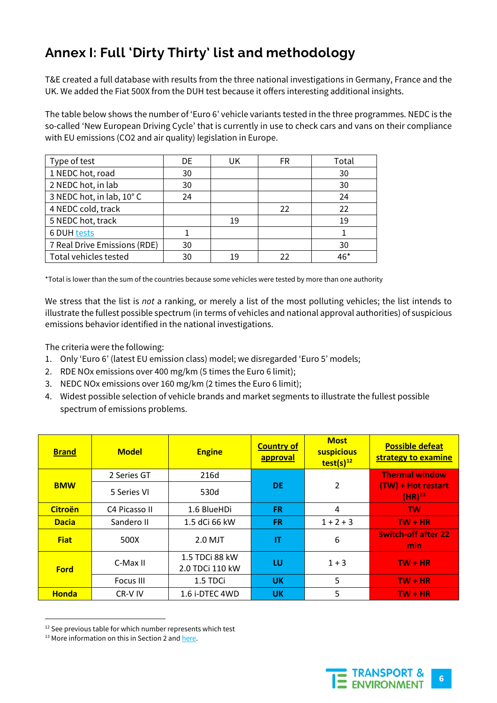## **Annex I: Full 'Dirty Thirty' list and methodology**

T&E created a full database with results from the three national investigations in Germany, France and the UK. We added the Fiat 500X from the DUH test because it offers interesting additional insights.

The table below shows the number of 'Euro 6' vehicle variants tested in the three programmes. NEDC is the so-called 'New European Driving Cycle' that is currently in use to check cars and vans on their compliance with EU emissions (CO2 and air quality) legislation in Europe.

| Type of test                 | DE | UK | FR. | Total |
|------------------------------|----|----|-----|-------|
| 1 NEDC hot, road             | 30 |    |     | 30    |
| 2 NEDC hot, in lab           | 30 |    |     | 30    |
| 3 NEDC hot, in lab, 10°C     | 24 |    |     | 24    |
| 4 NEDC cold, track           |    |    | 22  | 22    |
| 5 NEDC hot, track            |    | 19 |     | 19    |
| <b>6 DUH tests</b>           |    |    |     |       |
| 7 Real Drive Emissions (RDE) | 30 |    |     | 30    |
| Total vehicles tested        | 30 | 19 | 22  | 4հ*   |

\*Total is lower than the sum of the countries because some vehicles were tested by more than one authority

We stress that the list is *not* a ranking, or merely a list of the most polluting vehicles; the list intends to illustrate the fullest possible spectrum (in terms of vehicles and national approval authorities) of suspicious emissions behavior identified in the national investigations.

The criteria were the following:

- 1. Only 'Euro 6' (latest EU emission class) model; we disregarded 'Euro 5' models;
- 2. RDE NOx emissions over 400 mg/km (5 times the Euro 6 limit);
- 3. NEDC NOx emissions over 160 mg/km (2 times the Euro 6 limit);
- 4. Widest possible selection of vehicle brands and market segments to illustrate the fullest possible spectrum of emissions problems.

| <b>Brand</b>   | <b>Model</b>  | <b>Engine</b>                     | <b>Country of</b><br>approval | <b>Most</b><br><b>suspicious</b><br>test(s) $^{12}$ | <b>Possible defeat</b><br>strategy to examine |
|----------------|---------------|-----------------------------------|-------------------------------|-----------------------------------------------------|-----------------------------------------------|
| <b>BMW</b>     | 2 Series GT   | 216d                              | <b>DE</b>                     | 2                                                   | <b>Thermal window</b>                         |
|                | 5 Series VI   | 530d                              |                               |                                                     | (TW) + Hot restart<br>$(HR)^{13}$             |
| <b>Citroën</b> | C4 Picasso II | 1.6 BlueHDi                       | FR.                           | 4                                                   | <b>TW</b>                                     |
| <b>Dacia</b>   | Sandero II    | 1.5 dCi 66 kW                     | FR.                           | $1 + 2 + 3$                                         | $TW + HR$                                     |
| <b>Fiat</b>    | 500X          | $2.0$ MJT                         | IT                            | 6                                                   | <b>Switch-off after 22</b><br>min             |
| <b>Ford</b>    | C-Max II      | 1.5 TDCi 88 kW<br>2.0 TDCi 110 kW | LU                            | $1 + 3$                                             | $TW + HR$                                     |
|                | Focus III     | 1.5 TDCi                          | <b>UK</b>                     | 5                                                   | $TW + HR$                                     |
| <b>Honda</b>   | CR-V IV       | 1.6 i-DTEC 4WD                    | UK                            | 5                                                   | $TW + HR$                                     |

<span id="page-5-0"></span><sup>&</sup>lt;sup>12</sup> See previous table for which number represents which test

<span id="page-5-1"></span><sup>&</sup>lt;sup>13</sup> More information on this in Section 2 and here.